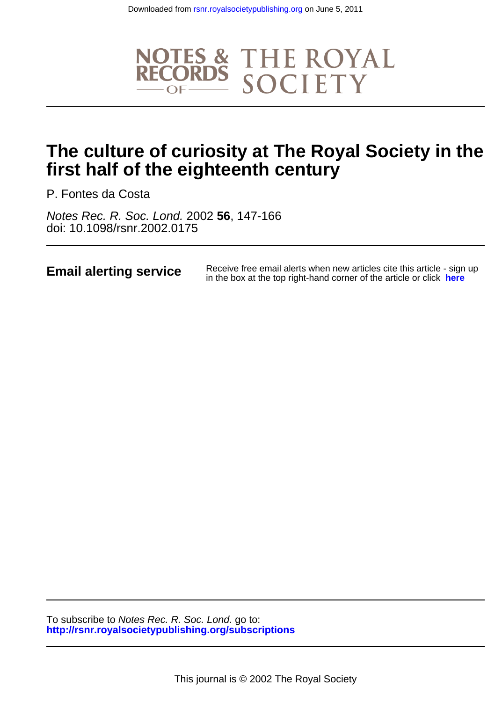

# **first half of the eighteenth century The culture of curiosity at The Royal Society in the**

P. Fontes da Costa

doi: 10.1098/rsnr.2002.0175 Notes Rec. R. Soc. Lond. 2002 **56**, 147-166

**Email alerting service** Receive free email alerts when new articles cite this article - sign the box at the top right-hand corner of the article or click **[here](http://rsnr.royalsocietypublishing.org/cgi/alerts/ctalert?alertType=citedby&addAlert=cited_by&saveAlert=no&cited_by_criteria_resid=roynotesrec;56/2/147&return_type=article&return_url=http://rsnr.royalsocietypublishing.org/content/56/2/147.full.pdf)** Receive free email alerts when new articles cite this article - sign up

**<http://rsnr.royalsocietypublishing.org/subscriptions>** To subscribe to Notes Rec. R. Soc. Lond. go to: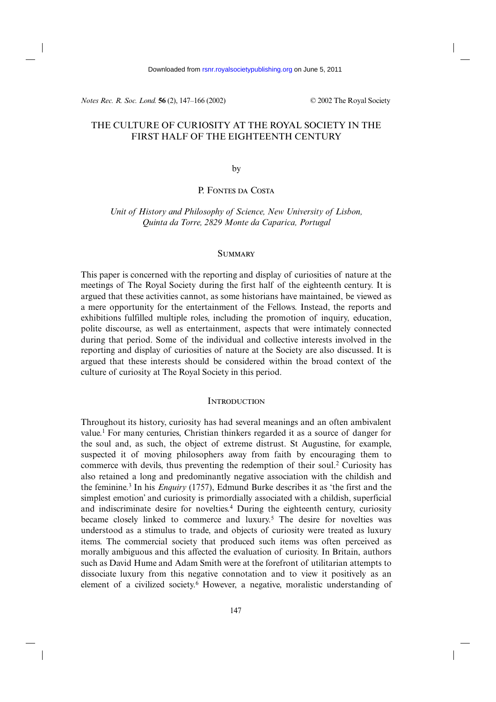*Notes Rec. R. Soc. Lond.* **56** (2), 147–166 (2002) © 2002 The Royal Society

# THE CULTURE OF CURIOSITY AT THE ROYAL SOCIETY IN THE FIRST HALF OF THE EIGHTEENTH CENTURY

by

# P. FONTES DA COSTA

*Unit of History and Philosophy of Science, New University of Lisbon, Quinta da Torre, 2829 Monte da Caparica, Portugal*

# **SUMMARY**

This paper is concerned with the reporting and display of curiosities of nature at the meetings of The Royal Society during the first half of the eighteenth century. It is argued that these activities cannot, as some historians have maintained, be viewed as a mere opportunity for the entertainment of the Fellows. Instead, the reports and exhibitions fulfilled multiple roles, including the promotion of inquiry, education, polite discourse, as well as entertainment, aspects that were intimately connected during that period. Some of the individual and collective interests involved in the reporting and display of curiosities of nature at the Society are also discussed. It is argued that these interests should be considered within the broad context of the culture of curiosity at The Royal Society in this period.

# **INTRODUCTION**

Throughout its history, curiosity has had several meanings and an often ambivalent value.1 For many centuries, Christian thinkers regarded it as a source of danger for the soul and, as such, the object of extreme distrust. St Augustine, for example, suspected it of moving philosophers away from faith by encouraging them to commerce with devils, thus preventing the redemption of their soul.2 Curiosity has also retained a long and predominantly negative association with the childish and the feminine.3 In his *Enquiry* (1757), Edmund Burke describes it as 'the first and the simplest emotion' and curiosity is primordially associated with a childish, superficial and indiscriminate desire for novelties.4 During the eighteenth century, curiosity became closely linked to commerce and luxury.<sup>5</sup> The desire for novelties was understood as a stimulus to trade, and objects of curiosity were treated as luxury items. The commercial society that produced such items was often perceived as morally ambiguous and this affected the evaluation of curiosity. In Britain, authors such as David Hume and Adam Smith were at the forefront of utilitarian attempts to dissociate luxury from this negative connotation and to view it positively as an element of a civilized society.<sup>6</sup> However, a negative, moralistic understanding of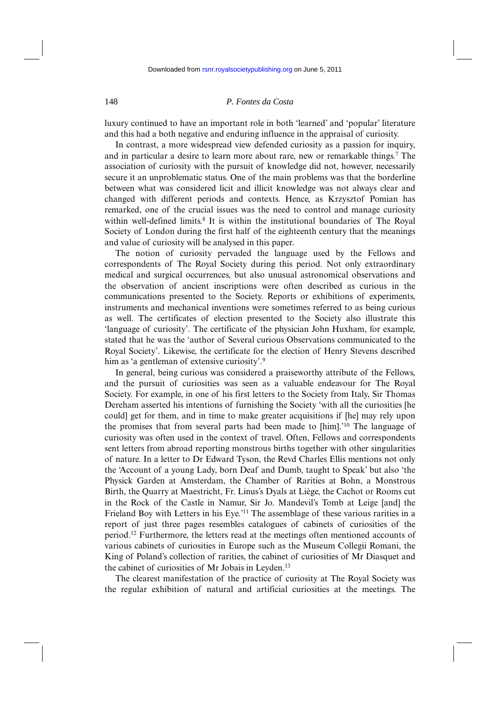luxury continued to have an important role in both 'learned' and 'popular' literature and this had a both negative and enduring influence in the appraisal of curiosity.

In contrast, a more widespread view defended curiosity as a passion for inquiry, and in particular a desire to learn more about rare, new or remarkable things.7 The association of curiosity with the pursuit of knowledge did not, however, necessarily secure it an unproblematic status. One of the main problems was that the borderline between what was considered licit and illicit knowledge was not always clear and changed with different periods and contexts. Hence, as Krzysztof Pomian has remarked, one of the crucial issues was the need to control and manage curiosity within well-defined limits.<sup>8</sup> It is within the institutional boundaries of The Royal Society of London during the first half of the eighteenth century that the meanings and value of curiosity will be analysed in this paper.

The notion of curiosity pervaded the language used by the Fellows and correspondents of The Royal Society during this period. Not only extraordinary medical and surgical occurrences, but also unusual astronomical observations and the observation of ancient inscriptions were often described as curious in the communications presented to the Society. Reports or exhibitions of experiments, instruments and mechanical inventions were sometimes referred to as being curious as well. The certificates of election presented to the Society also illustrate this 'language of curiosity'. The certificate of the physician John Huxham, for example, stated that he was the 'author of Several curious Observations communicated to the Royal Society'. Likewise, the certificate for the election of Henry Stevens described him as 'a gentleman of extensive curiosity'.<sup>9</sup>

In general, being curious was considered a praiseworthy attribute of the Fellows, and the pursuit of curiosities was seen as a valuable endeavour for The Royal Society. For example, in one of his first letters to the Society from Italy, Sir Thomas Dereham asserted his intentions of furnishing the Society 'with all the curiosities [he could] get for them, and in time to make greater acquisitions if [he] may rely upon the promises that from several parts had been made to [him].'10 The language of curiosity was often used in the context of travel. Often, Fellows and correspondents sent letters from abroad reporting monstrous births together with other singularities of nature. In a letter to Dr Edward Tyson, the Revd Charles Ellis mentions not only the 'Account of a young Lady, born Deaf and Dumb, taught to Speak' but also 'the Physick Garden at Amsterdam, the Chamber of Rarities at Bohn, a Monstrous Birth, the Quarry at Maestricht, Fr. Linus's Dyals at Liège, the Cachot or Rooms cut in the Rock of the Castle in Namur, Sir Jo. Mandevil's Tomb at Leige [and] the Frieland Boy with Letters in his Eye.'<sup>11</sup> The assemblage of these various rarities in a report of just three pages resembles catalogues of cabinets of curiosities of the period.12 Furthermore, the letters read at the meetings often mentioned accounts of various cabinets of curiosities in Europe such as the Museum Collegii Romani, the King of Poland's collection of rarities, the cabinet of curiosities of Mr Diasquet and the cabinet of curiosities of Mr Jobais in Leyden.13

The clearest manifestation of the practice of curiosity at The Royal Society was the regular exhibition of natural and artificial curiosities at the meetings. The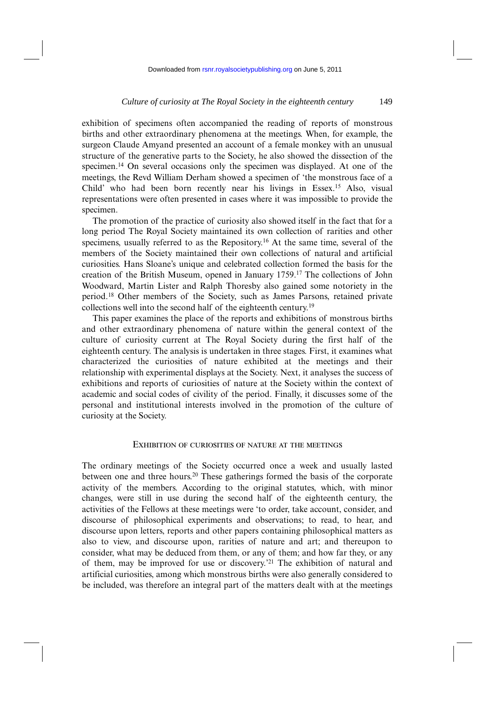exhibition of specimens often accompanied the reading of reports of monstrous births and other extraordinary phenomena at the meetings. When, for example, the surgeon Claude Amyand presented an account of a female monkey with an unusual structure of the generative parts to the Society, he also showed the dissection of the specimen.14 On several occasions only the specimen was displayed. At one of the meetings, the Revd William Derham showed a specimen of 'the monstrous face of a Child' who had been born recently near his livings in Essex.15 Also, visual representations were often presented in cases where it was impossible to provide the specimen.

The promotion of the practice of curiosity also showed itself in the fact that for a long period The Royal Society maintained its own collection of rarities and other specimens, usually referred to as the Repository.<sup>16</sup> At the same time, several of the members of the Society maintained their own collections of natural and artificial curiosities. Hans Sloane's unique and celebrated collection formed the basis for the creation of the British Museum, opened in January 1759.17 The collections of John Woodward, Martin Lister and Ralph Thoresby also gained some notoriety in the period.18 Other members of the Society, such as James Parsons, retained private collections well into the second half of the eighteenth century.19

This paper examines the place of the reports and exhibitions of monstrous births and other extraordinary phenomena of nature within the general context of the culture of curiosity current at The Royal Society during the first half of the eighteenth century. The analysis is undertaken in three stages. First, it examines what characterized the curiosities of nature exhibited at the meetings and their relationship with experimental displays at the Society. Next, it analyses the success of exhibitions and reports of curiosities of nature at the Society within the context of academic and social codes of civility of the period. Finally, it discusses some of the personal and institutional interests involved in the promotion of the culture of curiosity at the Society.

# EXHIBITION OF CURIOSITIES OF NATURE AT THE MEETINGS

The ordinary meetings of the Society occurred once a week and usually lasted between one and three hours.20 These gatherings formed the basis of the corporate activity of the members. According to the original statutes, which, with minor changes, were still in use during the second half of the eighteenth century, the activities of the Fellows at these meetings were 'to order, take account, consider, and discourse of philosophical experiments and observations; to read, to hear, and discourse upon letters, reports and other papers containing philosophical matters as also to view, and discourse upon, rarities of nature and art; and thereupon to consider, what may be deduced from them, or any of them; and how far they, or any of them, may be improved for use or discovery.'21 The exhibition of natural and artificial curiosities, among which monstrous births were also generally considered to be included, was therefore an integral part of the matters dealt with at the meetings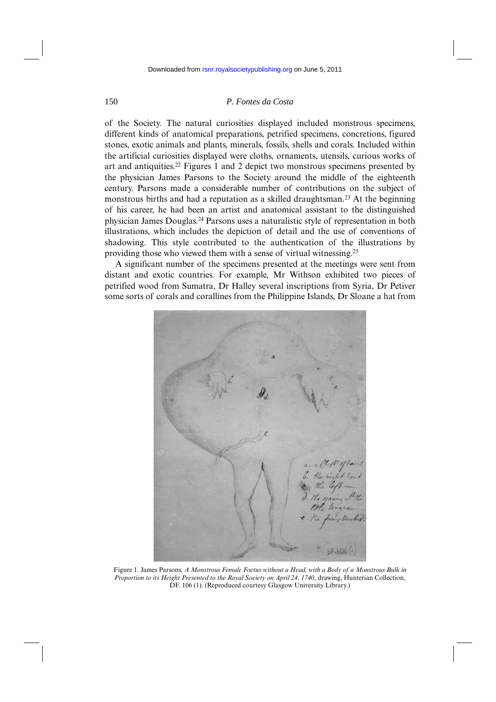of the Society. The natural curiosities displayed included monstrous specimens, different kinds of anatomical preparations, petrified specimens, concretions, figured stones, exotic animals and plants, minerals, fossils, shells and corals. Included within the artificial curiosities displayed were cloths, ornaments, utensils, curious works of art and antiquities.22 Figures 1 and 2 depict two monstrous specimens presented by the physician James Parsons to the Society around the middle of the eighteenth century. Parsons made a considerable number of contributions on the subject of monstrous births and had a reputation as a skilled draughtsman.23 At the beginning of his career, he had been an artist and anatomical assistant to the distinguished physician James Douglas.24 Parsons uses a naturalistic style of representation in both illustrations, which includes the depiction of detail and the use of conventions of shadowing. This style contributed to the authentication of the illustrations by providing those who viewed them with a sense of virtual witnessing.25

A significant number of the specimens presented at the meetings were sent from distant and exotic countries. For example, Mr Withson exhibited two pieces of petrified wood from Sumatra, Dr Halley several inscriptions from Syria, Dr Petiver some sorts of corals and corallines from the Philippine Islands, Dr Sloane a hat from



Figure 1. James Parsons, *A Monstrous Female Foetus without a Head, with a Body of a Monstrous Bulk in Proportion to its Height Presented to the Royal Society on April 24, 1740*, drawing, Hunterian Collection, DF. 106 (1). (Reproduced courtesy Glasgow University Library.)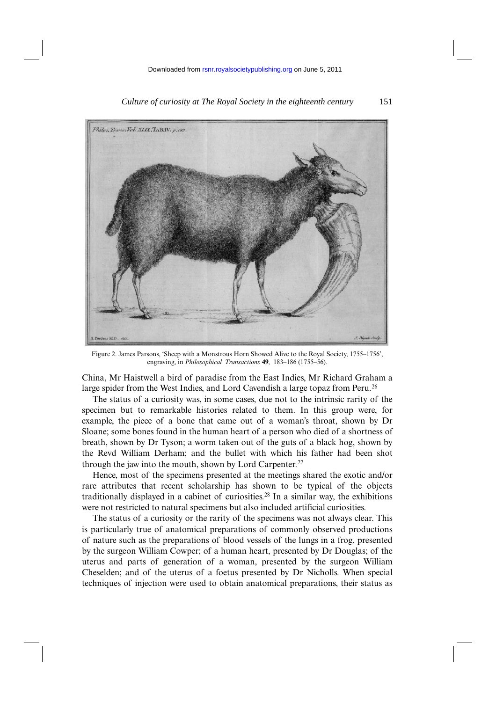

Figure 2. James Parsons, 'Sheep with a Monstrous Horn Showed Alive to the Royal Society, 1755–1756', engraving, in *Philosophical Transactions* **49**, 183–186 (1755–56).

China, Mr Haistwell a bird of paradise from the East Indies, Mr Richard Graham a large spider from the West Indies, and Lord Cavendish a large topaz from Peru.<sup>26</sup>

The status of a curiosity was, in some cases, due not to the intrinsic rarity of the specimen but to remarkable histories related to them. In this group were, for example, the piece of a bone that came out of a woman's throat, shown by Dr Sloane; some bones found in the human heart of a person who died of a shortness of breath, shown by Dr Tyson; a worm taken out of the guts of a black hog, shown by the Revd William Derham; and the bullet with which his father had been shot through the jaw into the mouth, shown by Lord Carpenter.27

Hence, most of the specimens presented at the meetings shared the exotic and/or rare attributes that recent scholarship has shown to be typical of the objects traditionally displayed in a cabinet of curiosities.<sup>28</sup> In a similar way, the exhibitions were not restricted to natural specimens but also included artificial curiosities.

The status of a curiosity or the rarity of the specimens was not always clear. This is particularly true of anatomical preparations of commonly observed productions of nature such as the preparations of blood vessels of the lungs in a frog, presented by the surgeon William Cowper; of a human heart, presented by Dr Douglas; of the uterus and parts of generation of a woman, presented by the surgeon William Cheselden; and of the uterus of a foetus presented by Dr Nicholls. When special techniques of injection were used to obtain anatomical preparations, their status as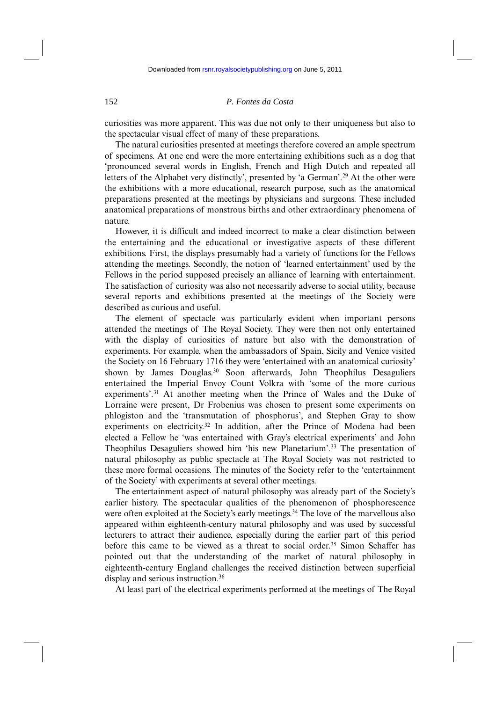curiosities was more apparent. This was due not only to their uniqueness but also to the spectacular visual effect of many of these preparations.

The natural curiosities presented at meetings therefore covered an ample spectrum of specimens. At one end were the more entertaining exhibitions such as a dog that 'pronounced several words in English, French and High Dutch and repeated all letters of the Alphabet very distinctly', presented by 'a German'.29 At the other were the exhibitions with a more educational, research purpose, such as the anatomical preparations presented at the meetings by physicians and surgeons. These included anatomical preparations of monstrous births and other extraordinary phenomena of nature.

However, it is difficult and indeed incorrect to make a clear distinction between the entertaining and the educational or investigative aspects of these different exhibitions. First, the displays presumably had a variety of functions for the Fellows attending the meetings. Secondly, the notion of 'learned entertainment' used by the Fellows in the period supposed precisely an alliance of learning with entertainment. The satisfaction of curiosity was also not necessarily adverse to social utility, because several reports and exhibitions presented at the meetings of the Society were described as curious and useful.

The element of spectacle was particularly evident when important persons attended the meetings of The Royal Society. They were then not only entertained with the display of curiosities of nature but also with the demonstration of experiments. For example, when the ambassadors of Spain, Sicily and Venice visited the Society on 16 February 1716 they were 'entertained with an anatomical curiosity' shown by James Douglas.<sup>30</sup> Soon afterwards, John Theophilus Desaguliers entertained the Imperial Envoy Count Volkra with 'some of the more curious experiments'.31 At another meeting when the Prince of Wales and the Duke of Lorraine were present, Dr Frobenius was chosen to present some experiments on phlogiston and the 'transmutation of phosphorus', and Stephen Gray to show experiments on electricity.<sup>32</sup> In addition, after the Prince of Modena had been elected a Fellow he 'was entertained with Gray's electrical experiments' and John Theophilus Desaguliers showed him 'his new Planetarium'.33 The presentation of natural philosophy as public spectacle at The Royal Society was not restricted to these more formal occasions. The minutes of the Society refer to the 'entertainment of the Society' with experiments at several other meetings.

The entertainment aspect of natural philosophy was already part of the Society's earlier history. The spectacular qualities of the phenomenon of phosphorescence were often exploited at the Society's early meetings.<sup>34</sup> The love of the marvellous also appeared within eighteenth-century natural philosophy and was used by successful lecturers to attract their audience, especially during the earlier part of this period before this came to be viewed as a threat to social order.<sup>35</sup> Simon Schaffer has pointed out that the understanding of the market of natural philosophy in eighteenth-century England challenges the received distinction between superficial display and serious instruction.36

At least part of the electrical experiments performed at the meetings of The Royal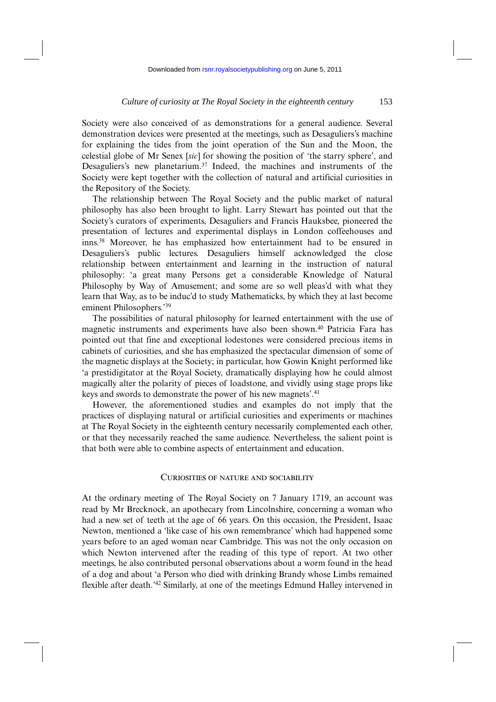Society were also conceived of as demonstrations for a general audience. Several demonstration devices were presented at the meetings, such as Desaguliers's machine for explaining the tides from the joint operation of the Sun and the Moon, the celestial globe of Mr Senex [*sic*] for showing the position of 'the starry sphere', and Desaguliers's new planetarium.<sup>37</sup> Indeed, the machines and instruments of the Society were kept together with the collection of natural and artificial curiosities in the Repository of the Society.

The relationship between The Royal Society and the public market of natural philosophy has also been brought to light. Larry Stewart has pointed out that the Society's curators of experiments, Desaguliers and Francis Hauksbee, pioneered the presentation of lectures and experimental displays in London coffeehouses and inns.38 Moreover, he has emphasized how entertainment had to be ensured in Desaguliers's public lectures. Desaguliers himself acknowledged the close relationship between entertainment and learning in the instruction of natural philosophy: 'a great many Persons get a considerable Knowledge of Natural Philosophy by Way of Amusement; and some are so well pleas'd with what they learn that Way, as to be induc'd to study Mathematicks, by which they at last become eminent Philosophers.'39

The possibilities of natural philosophy for learned entertainment with the use of magnetic instruments and experiments have also been shown.40 Patricia Fara has pointed out that fine and exceptional lodestones were considered precious items in cabinets of curiosities, and she has emphasized the spectacular dimension of some of the magnetic displays at the Society; in particular, how Gowin Knight performed like 'a prestidigitator at the Royal Society, dramatically displaying how he could almost magically alter the polarity of pieces of loadstone, and vividly using stage props like keys and swords to demonstrate the power of his new magnets'.<sup>41</sup>

However, the aforementioned studies and examples do not imply that the practices of displaying natural or artificial curiosities and experiments or machines at The Royal Society in the eighteenth century necessarily complemented each other, or that they necessarily reached the same audience. Nevertheless, the salient point is that both were able to combine aspects of entertainment and education.

# **CURIOSITIES OF NATURE AND SOCIABILITY**

At the ordinary meeting of The Royal Society on 7 January 1719, an account was read by Mr Brecknock, an apothecary from Lincolnshire, concerning a woman who had a new set of teeth at the age of 66 years. On this occasion, the President, Isaac Newton, mentioned a 'like case of his own remembrance' which had happened some years before to an aged woman near Cambridge. This was not the only occasion on which Newton intervened after the reading of this type of report. At two other meetings, he also contributed personal observations about a worm found in the head of a dog and about 'a Person who died with drinking Brandy whose Limbs remained flexible after death.'42 Similarly, at one of the meetings Edmund Halley intervened in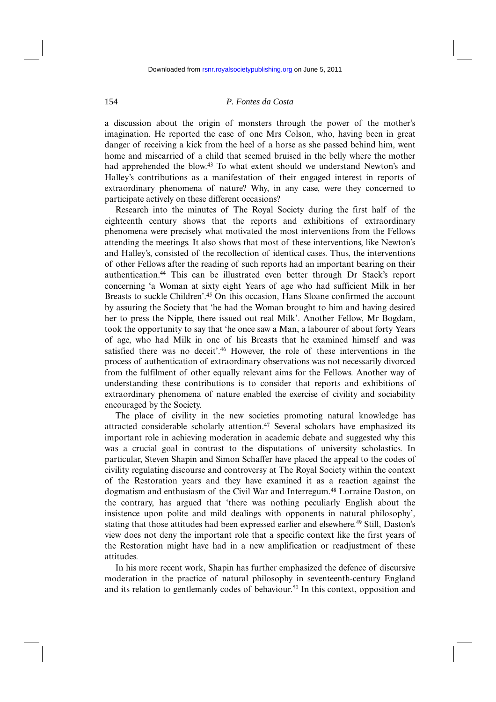a discussion about the origin of monsters through the power of the mother's imagination. He reported the case of one Mrs Colson, who, having been in great danger of receiving a kick from the heel of a horse as she passed behind him, went home and miscarried of a child that seemed bruised in the belly where the mother had apprehended the blow.43 To what extent should we understand Newton's and Halley's contributions as a manifestation of their engaged interest in reports of extraordinary phenomena of nature? Why, in any case, were they concerned to participate actively on these different occasions?

Research into the minutes of The Royal Society during the first half of the eighteenth century shows that the reports and exhibitions of extraordinary phenomena were precisely what motivated the most interventions from the Fellows attending the meetings. It also shows that most of these interventions, like Newton's and Halley's, consisted of the recollection of identical cases. Thus, the interventions of other Fellows after the reading of such reports had an important bearing on their authentication.44 This can be illustrated even better through Dr Stack's report concerning 'a Woman at sixty eight Years of age who had sufficient Milk in her Breasts to suckle Children'.45 On this occasion, Hans Sloane confirmed the account by assuring the Society that 'he had the Woman brought to him and having desired her to press the Nipple, there issued out real Milk'. Another Fellow, Mr Bogdam, took the opportunity to say that 'he once saw a Man, a labourer of about forty Years of age, who had Milk in one of his Breasts that he examined himself and was satisfied there was no deceit'.46 However, the role of these interventions in the process of authentication of extraordinary observations was not necessarily divorced from the fulfilment of other equally relevant aims for the Fellows. Another way of understanding these contributions is to consider that reports and exhibitions of extraordinary phenomena of nature enabled the exercise of civility and sociability encouraged by the Society.

The place of civility in the new societies promoting natural knowledge has attracted considerable scholarly attention.<sup>47</sup> Several scholars have emphasized its important role in achieving moderation in academic debate and suggested why this was a crucial goal in contrast to the disputations of university scholastics. In particular, Steven Shapin and Simon Schaffer have placed the appeal to the codes of civility regulating discourse and controversy at The Royal Society within the context of the Restoration years and they have examined it as a reaction against the dogmatism and enthusiasm of the Civil War and Interregum.<sup>48</sup> Lorraine Daston, on the contrary, has argued that 'there was nothing peculiarly English about the insistence upon polite and mild dealings with opponents in natural philosophy', stating that those attitudes had been expressed earlier and elsewhere.<sup>49</sup> Still, Daston's view does not deny the important role that a specific context like the first years of the Restoration might have had in a new amplification or readjustment of these attitudes.

In his more recent work, Shapin has further emphasized the defence of discursive moderation in the practice of natural philosophy in seventeenth-century England and its relation to gentlemanly codes of behaviour.<sup>50</sup> In this context, opposition and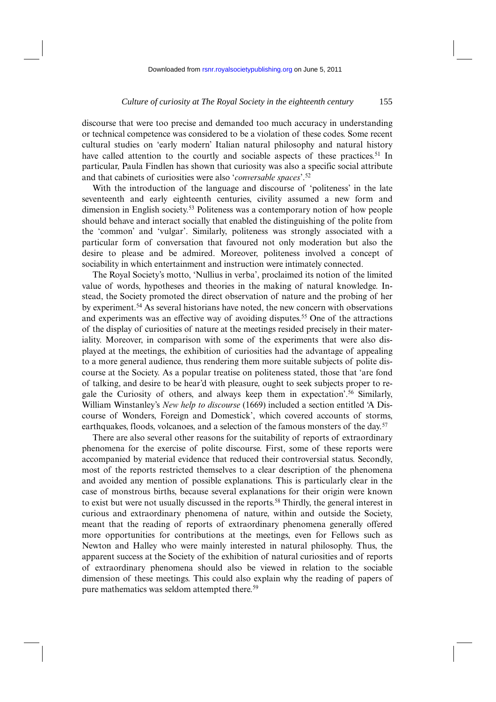discourse that were too precise and demanded too much accuracy in understanding or technical competence was considered to be a violation of these codes. Some recent cultural studies on 'early modern' Italian natural philosophy and natural history have called attention to the courtly and sociable aspects of these practices.<sup>51</sup> In particular, Paula Findlen has shown that curiosity was also a specific social attribute and that cabinets of curiosities were also '*conversable spaces*'.52

With the introduction of the language and discourse of 'politeness' in the late seventeenth and early eighteenth centuries, civility assumed a new form and dimension in English society.53 Politeness was a contemporary notion of how people should behave and interact socially that enabled the distinguishing of the polite from the 'common' and 'vulgar'. Similarly, politeness was strongly associated with a particular form of conversation that favoured not only moderation but also the desire to please and be admired. Moreover, politeness involved a concept of sociability in which entertainment and instruction were intimately connected.

The Royal Society's motto, 'Nullius in verba', proclaimed its notion of the limited value of words, hypotheses and theories in the making of natural knowledge. Instead, the Society promoted the direct observation of nature and the probing of her by experiment.<sup>54</sup> As several historians have noted, the new concern with observations and experiments was an effective way of avoiding disputes.<sup>55</sup> One of the attractions of the display of curiosities of nature at the meetings resided precisely in their materiality. Moreover, in comparison with some of the experiments that were also displayed at the meetings, the exhibition of curiosities had the advantage of appealing to a more general audience, thus rendering them more suitable subjects of polite discourse at the Society. As a popular treatise on politeness stated, those that 'are fond of talking, and desire to be hear'd with pleasure, ought to seek subjects proper to regale the Curiosity of others, and always keep them in expectation'.56 Similarly, William Winstanley's *New help to discourse* (1669) included a section entitled 'A Discourse of Wonders, Foreign and Domestick', which covered accounts of storms, earthquakes, floods, volcanoes, and a selection of the famous monsters of the day.<sup>57</sup>

There are also several other reasons for the suitability of reports of extraordinary phenomena for the exercise of polite discourse. First, some of these reports were accompanied by material evidence that reduced their controversial status. Secondly, most of the reports restricted themselves to a clear description of the phenomena and avoided any mention of possible explanations. This is particularly clear in the case of monstrous births, because several explanations for their origin were known to exist but were not usually discussed in the reports.<sup>58</sup> Thirdly, the general interest in curious and extraordinary phenomena of nature, within and outside the Society, meant that the reading of reports of extraordinary phenomena generally offered more opportunities for contributions at the meetings, even for Fellows such as Newton and Halley who were mainly interested in natural philosophy. Thus, the apparent success at the Society of the exhibition of natural curiosities and of reports of extraordinary phenomena should also be viewed in relation to the sociable dimension of these meetings. This could also explain why the reading of papers of pure mathematics was seldom attempted there.<sup>59</sup>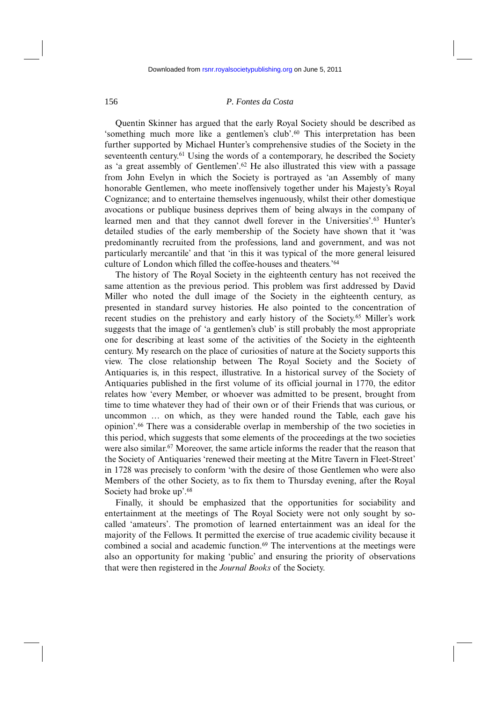Quentin Skinner has argued that the early Royal Society should be described as 'something much more like a gentlemen's club'.60 This interpretation has been further supported by Michael Hunter's comprehensive studies of the Society in the seventeenth century.<sup>61</sup> Using the words of a contemporary, he described the Society as 'a great assembly of Gentlemen'.62 He also illustrated this view with a passage from John Evelyn in which the Society is portrayed as 'an Assembly of many honorable Gentlemen, who meete inoffensively together under his Majesty's Royal Cognizance; and to entertaine themselves ingenuously, whilst their other domestique avocations or publique business deprives them of being always in the company of learned men and that they cannot dwell forever in the Universities'.63 Hunter's detailed studies of the early membership of the Society have shown that it 'was predominantly recruited from the professions, land and government, and was not particularly mercantile' and that 'in this it was typical of the more general leisured culture of London which filled the coffee-houses and theaters.'64

The history of The Royal Society in the eighteenth century has not received the same attention as the previous period. This problem was first addressed by David Miller who noted the dull image of the Society in the eighteenth century, as presented in standard survey histories. He also pointed to the concentration of recent studies on the prehistory and early history of the Society.65 Miller's work suggests that the image of 'a gentlemen's club' is still probably the most appropriate one for describing at least some of the activities of the Society in the eighteenth century. My research on the place of curiosities of nature at the Society supports this view. The close relationship between The Royal Society and the Society of Antiquaries is, in this respect, illustrative. In a historical survey of the Society of Antiquaries published in the first volume of its official journal in 1770, the editor relates how 'every Member, or whoever was admitted to be present, brought from time to time whatever they had of their own or of their Friends that was curious, or uncommon … on which, as they were handed round the Table, each gave his opinion'.66 There was a considerable overlap in membership of the two societies in this period, which suggests that some elements of the proceedings at the two societies were also similar.<sup>67</sup> Moreover, the same article informs the reader that the reason that the Society of Antiquaries 'renewed their meeting at the Mitre Tavern in Fleet-Street' in 1728 was precisely to conform 'with the desire of those Gentlemen who were also Members of the other Society, as to fix them to Thursday evening, after the Royal Society had broke up'.68

Finally, it should be emphasized that the opportunities for sociability and entertainment at the meetings of The Royal Society were not only sought by socalled 'amateurs'. The promotion of learned entertainment was an ideal for the majority of the Fellows. It permitted the exercise of true academic civility because it combined a social and academic function.<sup>69</sup> The interventions at the meetings were also an opportunity for making 'public' and ensuring the priority of observations that were then registered in the *Journal Books* of the Society.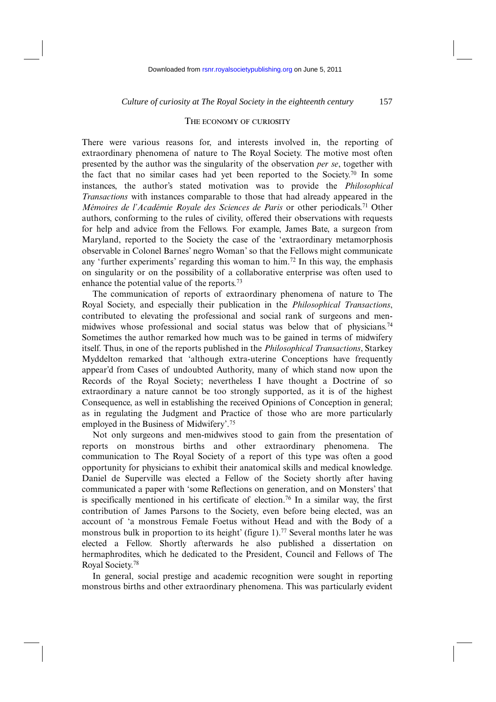# THE ECONOMY OF CURIOSITY

There were various reasons for, and interests involved in, the reporting of extraordinary phenomena of nature to The Royal Society. The motive most often presented by the author was the singularity of the observation *per se*, together with the fact that no similar cases had yet been reported to the Society.<sup>70</sup> In some instances, the author's stated motivation was to provide the *Philosophical Transactions* with instances comparable to those that had already appeared in the *Mémoires de l'Académie Royale des Sciences de Paris* or other periodicals.<sup>71</sup> Other authors, conforming to the rules of civility, offered their observations with requests for help and advice from the Fellows. For example, James Bate, a surgeon from Maryland, reported to the Society the case of the 'extraordinary metamorphosis observable in Colonel Barnes' negro Woman' so that the Fellows might communicate any 'further experiments' regarding this woman to him.<sup>72</sup> In this way, the emphasis on singularity or on the possibility of a collaborative enterprise was often used to enhance the potential value of the reports.73

The communication of reports of extraordinary phenomena of nature to The Royal Society, and especially their publication in the *Philosophical Transactions*, contributed to elevating the professional and social rank of surgeons and menmidwives whose professional and social status was below that of physicians.<sup>74</sup> Sometimes the author remarked how much was to be gained in terms of midwifery itself. Thus, in one of the reports published in the *Philosophical Transactions*, Starkey Myddelton remarked that 'although extra-uterine Conceptions have frequently appear'd from Cases of undoubted Authority, many of which stand now upon the Records of the Royal Society; nevertheless I have thought a Doctrine of so extraordinary a nature cannot be too strongly supported, as it is of the highest Consequence, as well in establishing the received Opinions of Conception in general; as in regulating the Judgment and Practice of those who are more particularly employed in the Business of Midwifery'.75

Not only surgeons and men-midwives stood to gain from the presentation of reports on monstrous births and other extraordinary phenomena. The communication to The Royal Society of a report of this type was often a good opportunity for physicians to exhibit their anatomical skills and medical knowledge. Daniel de Superville was elected a Fellow of the Society shortly after having communicated a paper with 'some Reflections on generation, and on Monsters' that is specifically mentioned in his certificate of election.<sup>76</sup> In a similar way, the first contribution of James Parsons to the Society, even before being elected, was an account of 'a monstrous Female Foetus without Head and with the Body of a monstrous bulk in proportion to its height' (figure 1).<sup>77</sup> Several months later he was elected a Fellow. Shortly afterwards he also published a dissertation on hermaphrodites, which he dedicated to the President, Council and Fellows of The Royal Society.78

In general, social prestige and academic recognition were sought in reporting monstrous births and other extraordinary phenomena. This was particularly evident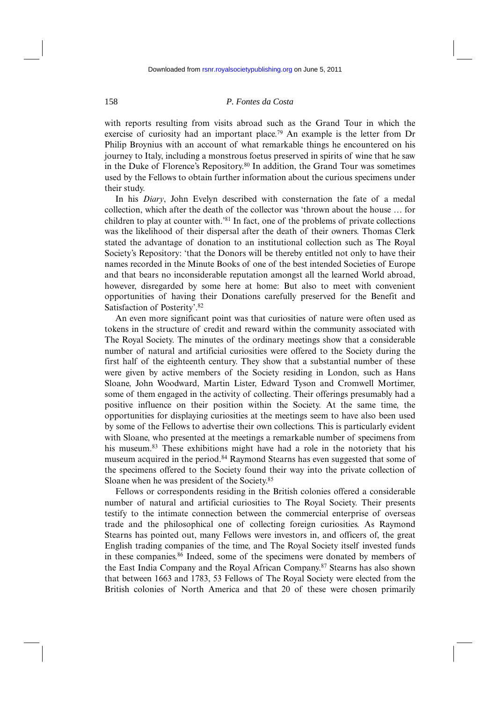with reports resulting from visits abroad such as the Grand Tour in which the exercise of curiosity had an important place.<sup>79</sup> An example is the letter from Dr Philip Broynius with an account of what remarkable things he encountered on his journey to Italy, including a monstrous foetus preserved in spirits of wine that he saw in the Duke of Florence's Repository.80 In addition, the Grand Tour was sometimes used by the Fellows to obtain further information about the curious specimens under their study.

In his *Diary*, John Evelyn described with consternation the fate of a medal collection, which after the death of the collector was 'thrown about the house … for children to play at counter with.'81 In fact, one of the problems of private collections was the likelihood of their dispersal after the death of their owners. Thomas Clerk stated the advantage of donation to an institutional collection such as The Royal Society's Repository: 'that the Donors will be thereby entitled not only to have their names recorded in the Minute Books of one of the best intended Societies of Europe and that bears no inconsiderable reputation amongst all the learned World abroad, however, disregarded by some here at home: But also to meet with convenient opportunities of having their Donations carefully preserved for the Benefit and Satisfaction of Posterity'.82

An even more significant point was that curiosities of nature were often used as tokens in the structure of credit and reward within the community associated with The Royal Society. The minutes of the ordinary meetings show that a considerable number of natural and artificial curiosities were offered to the Society during the first half of the eighteenth century. They show that a substantial number of these were given by active members of the Society residing in London, such as Hans Sloane, John Woodward, Martin Lister, Edward Tyson and Cromwell Mortimer, some of them engaged in the activity of collecting. Their offerings presumably had a positive influence on their position within the Society. At the same time, the opportunities for displaying curiosities at the meetings seem to have also been used by some of the Fellows to advertise their own collections. This is particularly evident with Sloane, who presented at the meetings a remarkable number of specimens from his museum.83 These exhibitions might have had a role in the notoriety that his museum acquired in the period.<sup>84</sup> Raymond Stearns has even suggested that some of the specimens offered to the Society found their way into the private collection of Sloane when he was president of the Society.85

Fellows or correspondents residing in the British colonies offered a considerable number of natural and artificial curiosities to The Royal Society. Their presents testify to the intimate connection between the commercial enterprise of overseas trade and the philosophical one of collecting foreign curiosities. As Raymond Stearns has pointed out, many Fellows were investors in, and officers of, the great English trading companies of the time, and The Royal Society itself invested funds in these companies.86 Indeed, some of the specimens were donated by members of the East India Company and the Royal African Company.87 Stearns has also shown that between 1663 and 1783, 53 Fellows of The Royal Society were elected from the British colonies of North America and that 20 of these were chosen primarily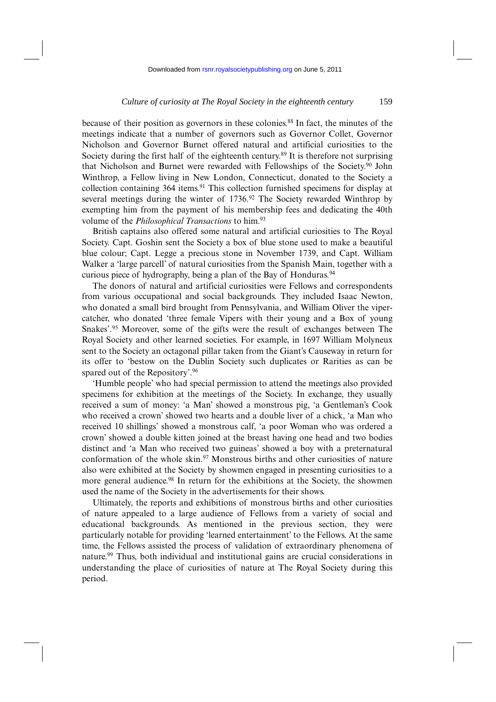because of their position as governors in these colonies.<sup>88</sup> In fact, the minutes of the meetings indicate that a number of governors such as Governor Collet, Governor Nicholson and Governor Burnet offered natural and artificial curiosities to the Society during the first half of the eighteenth century.<sup>89</sup> It is therefore not surprising that Nicholson and Burnet were rewarded with Fellowships of the Society.90 John Winthrop, a Fellow living in New London, Connecticut, donated to the Society a collection containing 364 items.<sup>91</sup> This collection furnished specimens for display at several meetings during the winter of 1736.<sup>92</sup> The Society rewarded Winthrop by exempting him from the payment of his membership fees and dedicating the 40th volume of the *Philosophical Transactions* to him.93

British captains also offered some natural and artificial curiosities to The Royal Society. Capt. Goshin sent the Society a box of blue stone used to make a beautiful blue colour; Capt. Legge a precious stone in November 1739, and Capt. William Walker a 'large parcell' of natural curiosities from the Spanish Main, together with a curious piece of hydrography, being a plan of the Bay of Honduras.<sup>94</sup>

The donors of natural and artificial curiosities were Fellows and correspondents from various occupational and social backgrounds. They included Isaac Newton, who donated a small bird brought from Pennsylvania, and William Oliver the vipercatcher, who donated 'three female Vipers with their young and a Box of young Snakes'.95 Moreover, some of the gifts were the result of exchanges between The Royal Society and other learned societies. For example, in 1697 William Molyneux sent to the Society an octagonal pillar taken from the Giant's Causeway in return for its offer to 'bestow on the Dublin Society such duplicates or Rarities as can be spared out of the Repository'.96

'Humble people' who had special permission to attend the meetings also provided specimens for exhibition at the meetings of the Society. In exchange, they usually received a sum of money: 'a Man' showed a monstrous pig, 'a Gentleman's Cook who received a crown' showed two hearts and a double liver of a chick, 'a Man who received 10 shillings' showed a monstrous calf, 'a poor Woman who was ordered a crown' showed a double kitten joined at the breast having one head and two bodies distinct and 'a Man who received two guineas' showed a boy with a preternatural conformation of the whole skin.<sup>97</sup> Monstrous births and other curiosities of nature also were exhibited at the Society by showmen engaged in presenting curiosities to a more general audience.<sup>98</sup> In return for the exhibitions at the Society, the showmen used the name of the Society in the advertisements for their shows.

Ultimately, the reports and exhibitions of monstrous births and other curiosities of nature appealed to a large audience of Fellows from a variety of social and educational backgrounds. As mentioned in the previous section, they were particularly notable for providing 'learned entertainment' to the Fellows. At the same time, the Fellows assisted the process of validation of extraordinary phenomena of nature.<sup>99</sup> Thus, both individual and institutional gains are crucial considerations in understanding the place of curiosities of nature at The Royal Society during this period.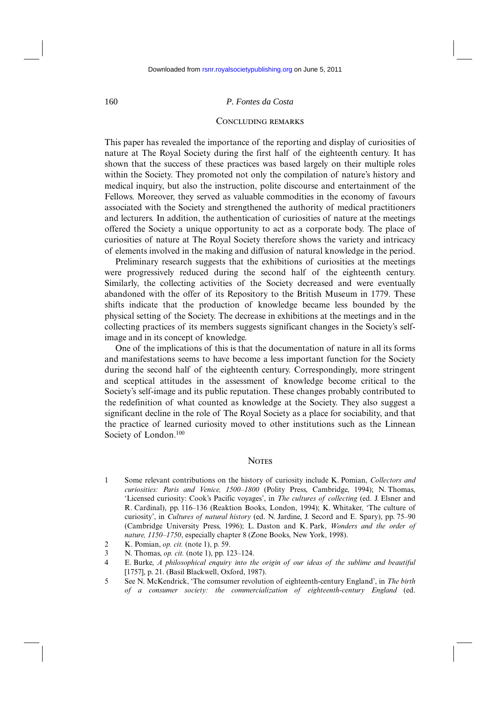#### **CONCLUDING REMARKS**

This paper has revealed the importance of the reporting and display of curiosities of nature at The Royal Society during the first half of the eighteenth century. It has shown that the success of these practices was based largely on their multiple roles within the Society. They promoted not only the compilation of nature's history and medical inquiry, but also the instruction, polite discourse and entertainment of the Fellows. Moreover, they served as valuable commodities in the economy of favours associated with the Society and strengthened the authority of medical practitioners and lecturers. In addition, the authentication of curiosities of nature at the meetings offered the Society a unique opportunity to act as a corporate body. The place of curiosities of nature at The Royal Society therefore shows the variety and intricacy of elements involved in the making and diffusion of natural knowledge in the period.

Preliminary research suggests that the exhibitions of curiosities at the meetings were progressively reduced during the second half of the eighteenth century. Similarly, the collecting activities of the Society decreased and were eventually abandoned with the offer of its Repository to the British Museum in 1779. These shifts indicate that the production of knowledge became less bounded by the physical setting of the Society. The decrease in exhibitions at the meetings and in the collecting practices of its members suggests significant changes in the Society's selfimage and in its concept of knowledge.

One of the implications of this is that the documentation of nature in all its forms and manifestations seems to have become a less important function for the Society during the second half of the eighteenth century. Correspondingly, more stringent and sceptical attitudes in the assessment of knowledge become critical to the Society's self-image and its public reputation. These changes probably contributed to the redefinition of what counted as knowledge at the Society. They also suggest a significant decline in the role of The Royal Society as a place for sociability, and that the practice of learned curiosity moved to other institutions such as the Linnean Society of London.<sup>100</sup>

#### **NOTES**

1 Some relevant contributions on the history of curiosity include K. Pomian, *Collectors and curiosities: Paris and Venice, 1500–1800* (Polity Press, Cambridge, 1994); N. Thomas, 'Licensed curiosity: Cook's Pacific voyages', in *The cultures of collecting* (ed. J. Elsner and R. Cardinal), pp. 116–136 (Reaktion Books, London, 1994); K. Whitaker, 'The culture of curiosity', in *Cultures of natural history* (ed. N. Jardine, J. Secord and E. Spary), pp. 75–90 (Cambridge University Press, 1996); L. Daston and K. Park, *Wonders and the order of nature, 1150–1750*, especially chapter 8 (Zone Books, New York, 1998).

5 See N. McKendrick, 'The comsumer revolution of eighteenth-century England', in *The birth of a consumer society: the commercialization of eighteenth-century England* (ed.

<sup>2</sup> K. Pomian, *op. cit.* (note 1), p. 59.

<sup>3</sup> N. Thomas, *op. cit.* (note 1), pp. 123–124.

<sup>4</sup> E. Burke, *A philosophical enquiry into the origin of our ideas of the sublime and beautiful* [1757], p. 21. (Basil Blackwell, Oxford, 1987).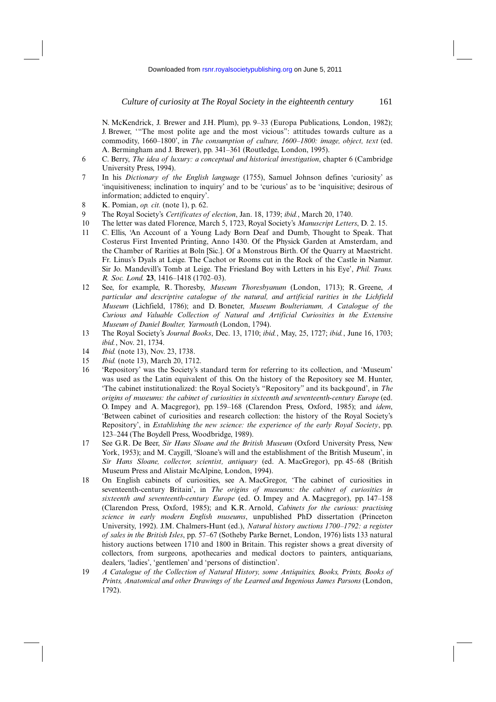N. McKendrick, J. Brewer and J.H. Plum), pp. 9–33 (Europa Publications, London, 1982); J. Brewer, '"The most polite age and the most vicious": attitudes towards culture as a commodity, 1660–1800', in *The consumption of culture, 1600–1800: image, object, text* (ed. A. Bermingham and J. Brewer), pp. 341–361 (Routledge, London, 1995).

- 6 C. Berry, *The idea of luxury: a conceptual and historical investigation*, chapter 6 (Cambridge University Press, 1994).
- 7 In his *Dictionary of the English language* (1755), Samuel Johnson defines 'curiosity' as 'inquisitiveness; inclination to inquiry' and to be 'curious' as to be 'inquisitive; desirous of information; addicted to enquiry'.
- 8 K. Pomian, *op. cit.* (note 1), p. 62.
- 9 The Royal Society's *Certificates of election*, Jan. 18, 1739; *ibid.*, March 20, 1740.
- 10 The letter was dated Florence, March 5, 1723, Royal Society's *Manuscript Letters*, D. 2. 15.
- 11 C. Ellis, 'An Account of a Young Lady Born Deaf and Dumb, Thought to Speak. That Costerus First Invented Printing, Anno 1430. Of the Physick Garden at Amsterdam, and the Chamber of Rarities at Boln [Sic.]. Of a Monstrous Birth. Of the Quarry at Maestricht. Fr. Linus's Dyals at Leige. The Cachot or Rooms cut in the Rock of the Castle in Namur. Sir Jo. Mandevill's Tomb at Leige. The Friesland Boy with Letters in his Eye', *Phil. Trans. R. Soc. Lond.* **23**, 1416–1418 (1702–03).
- 12 See, for example, R. Thoresby, *Museum Thoresbyanum* (London, 1713); R. Greene, *A particular and descriptive catalogue of the natural, and artificial rarities in the Lichfield Museum* (Lichfield, 1786); and D. Boneter, *Museum Boulterianum, A Catalogue of the Curious and Valuable Collection of Natural and Artificial Curiosities in the Extensive Museum of Daniel Boulter, Yarmouth* (London, 1794).
- 13 The Royal Society's *Journal Books*, Dec. 13, 1710; *ibid.*, May, 25, 1727; *ibid.*, June 16, 1703; *ibid.*, Nov. 21, 1734.
- 14 *Ibid.* (note 13), Nov. 23, 1738.
- 15 *Ibid.* (note 13), March 20, 1712.<br>16 **Reposition** was the Society's s
- 16 'Repository' was the Society's standard term for referring to its collection, and 'Museum' was used as the Latin equivalent of this. On the history of the Repository see M. Hunter, 'The cabinet institutionalized: the Royal Society's "Repository" and its backgound', in *The origins of museums: the cabinet of curiosities in sixteenth and seventeenth-century Europe* (ed. O. Impey and A. Macgregor), pp. 159–168 (Clarendon Press, Oxford, 1985); and *idem*, 'Between cabinet of curiosities and research collection: the history of the Royal Society's Repository', in *Establishing the new science: the experience of the early Royal Society*, pp. 123–244 (The Boydell Press, Woodbridge, 1989).
- 17 See G.R. De Beer, *Sir Hans Sloane and the British Museum* (Oxford University Press, New York, 1953); and M. Caygill, 'Sloane's will and the establishment of the British Museum', in *Sir Hans Sloane, collector, scientist, antiquary* (ed. A. MacGregor), pp. 45–68 (British Museum Press and Alistair McAlpine, London, 1994).
- 18 On English cabinets of curiosities, see A. MacGregor, 'The cabinet of curiosities in seventeenth-century Britain', in *The origins of museums: the cabinet of curiosities in sixteenth and seventeenth-century Europe* (ed. O. Impey and A. Macgregor), pp. 147–158 (Clarendon Press, Oxford, 1985); and K.R. Arnold, *Cabinets for the curious: practising science in early modern English museums*, unpublished PhD dissertation (Princeton University, 1992). J.M. Chalmers-Hunt (ed.), *Natural history auctions 1700–1792: a register of sales in the British Isles*, pp. 57–67 (Sotheby Parke Bernet, London, 1976) lists 133 natural history auctions between 1710 and 1800 in Britain. This register shows a great diversity of collectors, from surgeons, apothecaries and medical doctors to painters, antiquarians, dealers, 'ladies', 'gentlemen' and 'persons of distinction'.
- 19 *A Catalogue of the Collection of Natural History, some Antiquities, Books, Prints, Books of Prints, Anatomical and other Drawings of the Learned and Ingenious James Parsons* (London, 1792).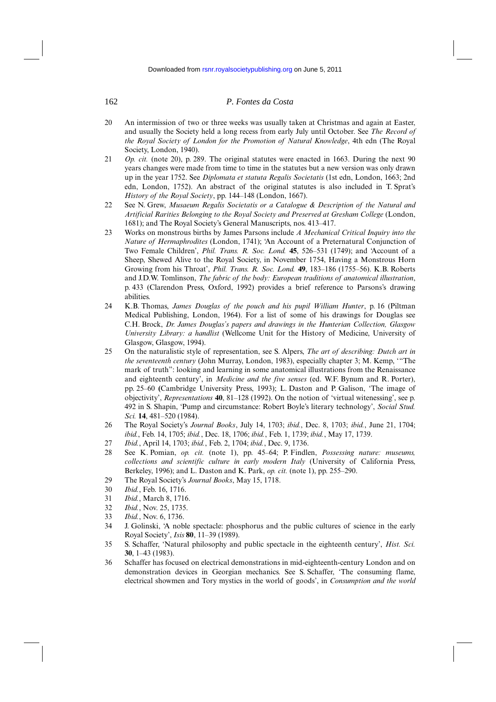- 20 An intermission of two or three weeks was usually taken at Christmas and again at Easter, and usually the Society held a long recess from early July until October. See *The Record of the Royal Society of London for the Promotion of Natural Knowledge*, 4th edn (The Royal Society, London, 1940).
- 21 *Op. cit.* (note 20), p. 289. The original statutes were enacted in 1663. During the next 90 years changes were made from time to time in the statutes but a new version was only drawn up in the year 1752. See *Diplomata et statuta Regalis Societatis* (1st edn, London, 1663; 2nd edn, London, 1752). An abstract of the original statutes is also included in T. Sprat's *History of the Royal Society*, pp. 144–148 (London, 1667).
- 22 See N. Grew, *Musaeum Regalis Societatis or a Catalogue & Description of the Natural and Artificial Rarities Belonging to the Royal Society and Preserved at Gresham College* (London, 1681); and The Royal Society's General Manuscripts, nos. 413–417.
- 23 Works on monstrous births by James Parsons include *A Mechanical Critical Inquiry into the Nature of Hermaphrodites* (London, 1741); 'An Account of a Preternatural Conjunction of Two Female Children', *Phil. Trans. R. Soc. Lond.* **45**, 526–531 (1749); and 'Account of a Sheep, Shewed Alive to the Royal Society, in November 1754, Having a Monstrous Horn Growing from his Throat', *Phil. Trans. R. Soc. Lond.* **49**, 183–186 (1755–56). K.B. Roberts and J.D.W. Tomlinson, *The fabric of the body: European traditions of anatomical illustration*, p. 433 (Clarendon Press, Oxford, 1992) provides a brief reference to Parsons's drawing abilities.
- 24 K.B. Thomas, *James Douglas of the pouch and his pupil William Hunter*, p. 16 (Piltman Medical Publishing, London, 1964). For a list of some of his drawings for Douglas see C.H. Brock, *Dr. James Douglas's papers and drawings in the Hunterian Collection, Glasgow University Library: a handlist* (Wellcome Unit for the History of Medicine, University of Glasgow, Glasgow, 1994).
- 25 On the naturalistic style of representation, see S. Alpers, *The art of describing: Dutch art in the seventeenth century* (John Murray, London, 1983), especially chapter 3; M. Kemp, '"The mark of truth": looking and learning in some anatomical illustrations from the Renaissance and eighteenth century', in *Medicine and the five senses* (ed. W.F. Bynum and R. Porter), pp. 25–60 **(**Cambridge University Press, 1993); L. Daston and P. Galison, 'The image of objectivity', *Representations* **40**, 81–128 (1992). On the notion of 'virtual witenessing', see p. 492 in S. Shapin, 'Pump and circumstance: Robert Boyle's literary technology', *Social Stud. Sci.* **14**, 481–520 (1984).
- 26 The Royal Society's *Journal Books*, July 14, 1703; *ibid.*, Dec. 8, 1703; *ibid.*, June 21, 1704; *ibid.*, Feb. 14, 1705; *ibid.*, Dec. 18, 1706; *ibid.*, Feb. 1, 1739; *ibid.*, May 17, 1739.
- 27 *Ibid.*, April 14, 1703; *ibid.*, Feb. 2, 1704; *ibid.*, Dec. 9, 1736.
- 28 See K. Pomian, *op. cit.* (note 1), pp. 45–64; P. Findlen, *Possessing nature: museums, collections and scientific culture in early modern Italy* (University of California Press, Berkeley, 1996); and L. Daston and K. Park, *op. cit.* (note 1), pp. 255–290.
- 29 The Royal Society's *Journal Books*, May 15, 1718.
- 30 *Ibid.*, Feb. 16, 1716.
- 31 *Ibid.*, March 8, 1716.
- 32 *Ibid.*, Nov. 25, 1735.
- 33 *Ibid.*, Nov. 6, 1736.
- 34 J. Golinski, 'A noble spectacle: phosphorus and the public cultures of science in the early Royal Society', *Isis* **80**, 11–39 (1989).
- 35 S. Schaffer, 'Natural philosophy and public spectacle in the eighteenth century', *Hist. Sci.* **30**, 1–43 (1983).
- 36 Schaffer has focused on electrical demonstrations in mid-eighteenth-century London and on demonstration devices in Georgian mechanics. See S. Schaffer, 'The consuming flame, electrical showmen and Tory mystics in the world of goods', in *Consumption and the world*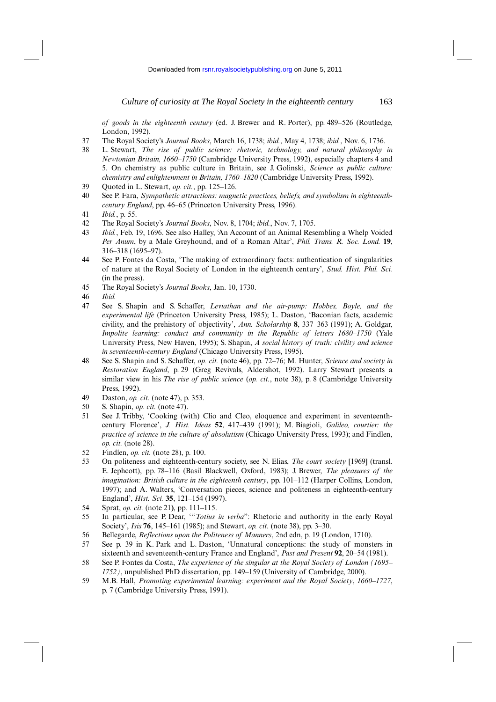*of goods in the eighteenth century* (ed. J. Brewer and R. Porter), pp. 489–526 (Routledge, London, 1992).

- 37 The Royal Society's *Journal Books*, March 16, 1738; *ibid.*, May 4, 1738; *ibid.*, Nov. 6, 1736.
- 38 L. Stewart, *The rise of public science: rhetoric, technology, and natural philosophy in Newtonian Britain, 1660–1750* (Cambridge University Press, 1992), especially chapters 4 and 5. On chemistry as public culture in Britain, see J. Golinski, *Science as public culture: chemistry and enlightenment in Britain, 1760–1820* (Cambridge University Press, 1992).
- 39 Quoted in L. Stewart, *op. cit.*, pp. 125–126.
- 40 See P. Fara, *Sympathetic attractions: magnetic practices, beliefs, and symbolism in eighteenthcentury England*, pp. 46–65 (Princeton University Press, 1996).
- 41 *Ibid.*, p. 55.
- 42 The Royal Society's *Journal Books*, Nov. 8, 1704; *ibid.*, Nov. 7, 1705.
- 43 *Ibid.*, Feb. 19, 1696. See also Halley, 'An Account of an Animal Resembling a Whelp Voided *Per Anum*, by a Male Greyhound, and of a Roman Altar', *Phil. Trans. R. Soc. Lond.* **19**, 316–318 (1695–97).
- 44 See P. Fontes da Costa, 'The making of extraordinary facts: authentication of singularities of nature at the Royal Society of London in the eighteenth century', *Stud. Hist. Phil. Sci.* (in the press).
- 45 The Royal Society's *Journal Books*, Jan. 10, 1730.
- 46 *Ibid.*
- 47 See S. Shapin and S. Schaffer, *Leviathan and the air-pump: Hobbes, Boyle, and the experimental life* (Princeton University Press, 1985); L. Daston, 'Baconian facts, academic civility, and the prehistory of objectivity', *Ann. Scholarship* **8**, 337–363 (1991); A. Goldgar, *Impolite learning: conduct and community in the Republic of letters 1680–1750* (Yale University Press, New Haven, 1995); S. Shapin, *A social history of truth: civility and science in seventeenth-century England* (Chicago University Press, 1995).
- 48 See S. Shapin and S. Schaffer, *op. cit.* (note 46), pp. 72–76; M. Hunter, *Science and society in Restoration England*, p. 29 (Greg Revivals, Aldershot, 1992). Larry Stewart presents a similar view in his *The rise of public science* (*op. cit.*, note 38), p. 8 (Cambridge University Press, 1992).
- 49 Daston, *op. cit.* (note 47), p. 353.
- 50 S. Shapin, *op. cit.* (note 47).
- 51 See J. Tribby, 'Cooking (with) Clio and Cleo, eloquence and experiment in seventeenthcentury Florence', *J. Hist. Ideas* **52**, 417–439 (1991); M. Biagioli, *Galileo, courtier: the practice of science in the culture of absolutism* (Chicago University Press, 1993); and Findlen, *op. cit.* (note 28).
- 52 Findlen, *op. cit.* (note 28), p. 100.
- 53 On politeness and eighteenth-century society, see N. Elias, *The court society* [1969] (transl. E. Jephcott), pp. 78–116 (Basil Blackwell, Oxford, 1983); J. Brewer, *The pleasures of the imagination: British culture in the eighteenth century*, pp. 101–112 (Harper Collins, London, 1997); and A. Walters, 'Conversation pieces, science and politeness in eighteenth-century England', *Hist. Sci.* **35**, 121–154 (1997).
- 54 Sprat, *op. cit.* (note 21**)**, pp. 111–115.
- 55 In particular, see P. Dear, '"*Totius in verba*": Rhetoric and authority in the early Royal Society', *Isis* **76**, 145–161 (1985); and Stewart, *op. cit.* (note 38), pp. 3–30.
- 56 Bellegarde, *Reflections upon the Politeness of Manners*, 2nd edn, p. 19 (London, 1710).
- 57 See p. 39 in K. Park and L. Daston, 'Unnatural conceptions: the study of monsters in sixteenth and seventeenth-century France and England', *Past and Present* **92**, 20–54 (1981).
- 58 See P. Fontes da Costa, *The experience of the singular at the Royal Society of London (1695– 1752)*, unpublished PhD dissertation, pp. 149–159 (University of Cambridge, 2000).
- 59 M.B. Hall, *Promoting experimental learning: experiment and the Royal Society*, *1660–1727*, p. 7 (Cambridge University Press, 1991).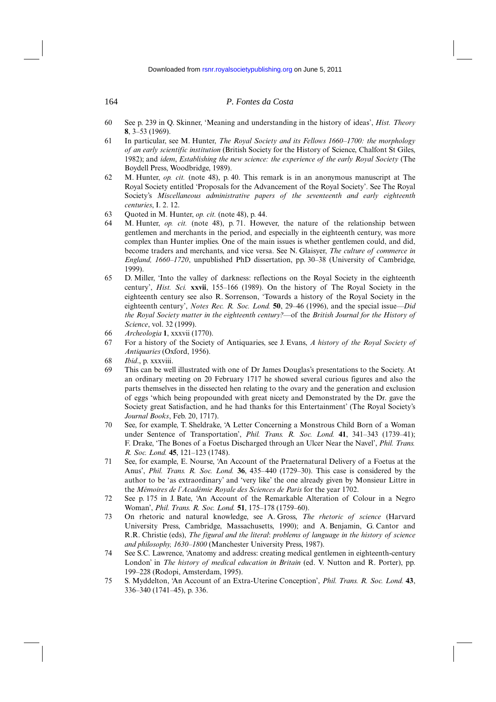- 60 See p. 239 in Q. Skinner, 'Meaning and understanding in the history of ideas', *Hist. Theory* **8**, 3–53 (1969).
- 61 In particular, see M. Hunter, *The Royal Society and its Fellows 1660–1700: the morphology of an early scientific institution* (British Society for the History of Science, Chalfont St Giles, 1982); and *idem*, *Establishing the new science: the experience of the early Royal Society* (The Boydell Press, Woodbridge, 1989).
- 62 M. Hunter, *op. cit.* (note 48), p. 40. This remark is in an anonymous manuscript at The Royal Society entitled 'Proposals for the Advancement of the Royal Society'. See The Royal Society's *Miscellaneous administrative papers of the seventeenth and early eighteenth centuries*, I. 2. 12.
- 63 Quoted in M. Hunter, *op. cit.* (note 48), p. 44.
- 64 M. Hunter, *op. cit.* (note 48), p. 71. However, the nature of the relationship between gentlemen and merchants in the period, and especially in the eighteenth century, was more complex than Hunter implies. One of the main issues is whether gentlemen could, and did, become traders and merchants, and vice versa. See N. Glaisyer, *The culture of commerce in England, 1660–1720*, unpublished PhD dissertation, pp. 30–38 (University of Cambridge, 1999).
- 65 D. Miller, 'Into the valley of darkness: reflections on the Royal Society in the eighteenth century', *Hist. Sci.* **xxvii**, 155–166 (1989). On the history of The Royal Society in the eighteenth century see also R. Sorrenson, 'Towards a history of the Royal Society in the eighteenth century', *Notes Rec. R. Soc. Lond.* **50**, 29–46 (1996), and the special issue—*Did the Royal Society matter in the eighteenth century?*—of the *British Journal for the History of Science*, vol. 32 (1999).
- 66 *Archeologia* **1**, xxxvii (1770).
- 67 For a history of the Society of Antiquaries, see J. Evans, *A history of the Royal Society of Antiquaries* (Oxford, 1956).
- 68 *Ibid*., p. xxxviii.
- 69 This can be well illustrated with one of Dr James Douglas's presentations to the Society. At an ordinary meeting on 20 February 1717 he showed several curious figures and also the parts themselves in the dissected hen relating to the ovary and the generation and exclusion of eggs 'which being propounded with great nicety and Demonstrated by the Dr. gave the Society great Satisfaction, and he had thanks for this Entertainment' (The Royal Society's *Journal Books*, Feb. 20, 1717).
- 70 See, for example, T. Sheldrake, 'A Letter Concerning a Monstrous Child Born of a Woman under Sentence of Transportation', *Phil. Trans. R. Soc. Lond.* **41**, 341–343 (1739–41); F. Drake, 'The Bones of a Foetus Discharged through an Ulcer Near the Navel', *Phil. Trans. R. Soc. Lond.* **45**, 121–123 (1748).
- 71 See, for example, E. Nourse, 'An Account of the Praeternatural Delivery of a Foetus at the Anus', *Phil. Trans. R. Soc. Lond.* **36**, 435–440 (1729–30). This case is considered by the author to be 'as extraordinary' and 'very like' the one already given by Monsieur Littre in the *Mémoires de l'Académie Royale des Sciences de Paris* for the year 1702.
- 72 See p. 175 in J. Bate, 'An Account of the Remarkable Alteration of Colour in a Negro Woman', *Phil. Trans. R. Soc. Lond.* **51**, 175–178 (1759–60).
- 73 On rhetoric and natural knowledge, see A. Gross, *The rhetoric of science* (Harvard University Press, Cambridge, Massachusetts, 1990); and A. Benjamin, G. Cantor and R.R. Christie (eds), *The figural and the literal*: *problems of language in the history of science and philosophy, 1630–1800* (Manchester University Press, 1987).
- 74 See S.C. Lawrence, 'Anatomy and address: creating medical gentlemen in eighteenth-century London' in *The history of medical education in Britain* (ed. V. Nutton and R. Porter), pp. 199–228 (Rodopi, Amsterdam, 1995).
- 75 S. Myddelton, 'An Account of an Extra-Uterine Conception', *Phil. Trans. R. Soc. Lond.* **43**, 336–340 (1741–45), p. 336.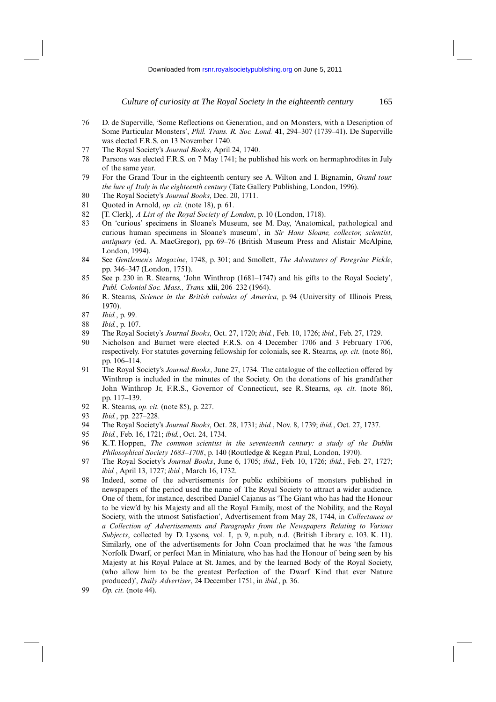- 76 D. de Superville, 'Some Reflections on Generation, and on Monsters, with a Description of Some Particular Monsters', *Phil. Trans. R. Soc. Lond.* **41**, 294–307 (1739–41). De Superville was elected F.R.S. on 13 November 1740.
- 77 The Royal Society's *Journal Books*, April 24, 1740.
- 78 Parsons was elected F.R.S. on 7 May 1741; he published his work on hermaphrodites in July of the same year.
- 79 For the Grand Tour in the eighteenth century see A. Wilton and I. Bignamin, *Grand tour: the lure of Italy in the eighteenth century* (Tate Gallery Publishing, London, 1996).
- 80 The Royal Society's *Journal Books*, Dec. 20, 1711.
- 81 Quoted in Arnold, *op. cit.* (note 18), p. 61.
- 82 [T. Clerk], *A List of the Royal Society of London*, p. 10 (London, 1718).
- 83 On 'curious' specimens in Sloane's Museum, see M. Day, 'Anatomical, pathological and curious human specimens in Sloane's museum', in *Sir Hans Sloane, collector, scientist, antiquary* (ed. A. MacGregor), pp. 69–76 (British Museum Press and Alistair McAlpine, London, 1994).
- 84 See *Gentlemen's Magazine*, 1748, p. 301; and Smollett, *The Adventures of Peregrine Pickle*, pp. 346–347 (London, 1751).
- 85 See p. 230 in R. Stearns, 'John Winthrop (1681–1747) and his gifts to the Royal Society', *Publ. Colonial Soc. Mass., Trans.* **xlii**, 206–232 (1964).
- 86 R. Stearns, *Science in the British colonies of America*, p. 94 (University of Illinois Press, 1970).
- 87 *Ibid.*, p. 99.
- 88 *Ibid.*, p. 107.
- 89 The Royal Society's *Journal Books*, Oct. 27, 1720; *ibid.*, Feb. 10, 1726; *ibid.*, Feb. 27, 1729.
- 90 Nicholson and Burnet were elected F.R.S. on 4 December 1706 and 3 February 1706, respectively. For statutes governing fellowship for colonials, see R. Stearns, *op. cit.* (note 86), pp. 106–114.
- 91 The Royal Society's *Journal Books*, June 27, 1734. The catalogue of the collection offered by Winthrop is included in the minutes of the Society. On the donations of his grandfather John Winthrop Jr, F.R.S., Governor of Connecticut, see R. Stearns, *op. cit.* (note 86), pp. 117–139.
- 92 R. Stearns, *op. cit.* (note 85), p. 227.
- 93 *Ibid.*, pp. 227–228.
- 94 The Royal Society's *Journal Books*, Oct. 28, 1731; *ibid.*, Nov. 8, 1739; *ibid.*, Oct. 27, 1737.
- 95 *Ibid.*, Feb. 16, 1721; *ibid.*, Oct. 24, 1734.
- 96 K.T. Hoppen, *The common scientist in the seventeenth century: a study of the Dublin Philosophical Society 1683–1708*, p. 140 (Routledge & Kegan Paul, London, 1970).
- 97 The Royal Society's *Journal Books*, June 6, 1705; *ibid.*, Feb. 10, 1726; *ibid.*, Feb. 27, 1727; *ibid.*, April 13, 1727; *ibid.*, March 16, 1732.
- 98 Indeed, some of the advertisements for public exhibitions of monsters published in newspapers of the period used the name of The Royal Society to attract a wider audience. One of them, for instance, described Daniel Cajanus as 'The Giant who has had the Honour to be view'd by his Majesty and all the Royal Family, most of the Nobility, and the Royal Society, with the utmost Satisfaction', Advertisement from May 28, 1744, in *Collectanea or a Collection of Advertisements and Paragraphs from the Newspapers Relating to Various Subjects*, collected by D. Lysons, vol. I, p. 9, n.pub, n.d. (British Library c. 103. K. 11). Similarly, one of the advertisements for John Coan proclaimed that he was 'the famous Norfolk Dwarf, or perfect Man in Miniature, who has had the Honour of being seen by his Majesty at his Royal Palace at St. James, and by the learned Body of the Royal Society, (who allow him to be the greatest Perfection of the Dwarf Kind that ever Nature produced)', *Daily Advertiser*, 24 December 1751, in *ibid.*, p. 36.
- 99 *Op. cit.* (note 44).